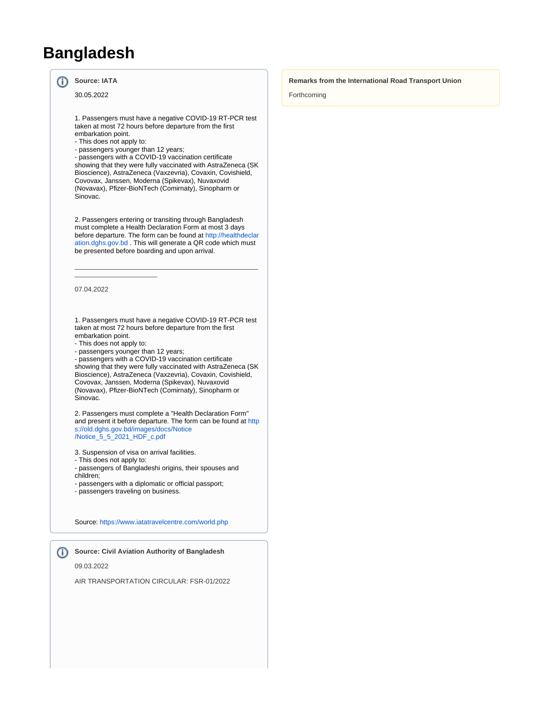# **Bangladesh**

#### ന **Source: IATA**

30.05.2022

1. Passengers must have a negative COVID-19 RT-PCR test taken at most 72 hours before departure from the first embarkation point.

- This does not apply to:
- passengers younger than 12 years;

- passengers with a COVID-19 vaccination certificate showing that they were fully vaccinated with AstraZeneca (SK Bioscience), AstraZeneca (Vaxzevria), Covaxin, Covishield, Covovax, Janssen, Moderna (Spikevax), Nuvaxovid (Novavax), Pfizer-BioNTech (Comirnaty), Sinopharm or Sinovac.

2. Passengers entering or transiting through Bangladesh must complete a Health Declaration Form at most 3 days before departure. The form can be found at [http://healthdeclar](http://healthdeclaration.dghs.gov.bd/) [ation.dghs.gov.bd](http://healthdeclaration.dghs.gov.bd/) . This will generate a QR code which must be presented before boarding and upon arrival.

\_\_\_\_\_\_\_\_\_\_\_\_\_\_\_\_\_\_\_\_\_\_\_\_\_\_\_\_\_\_\_\_\_\_\_\_\_\_\_\_\_\_\_\_\_\_\_\_\_

#### 07.04.2022

1. Passengers must have a negative COVID-19 RT-PCR test taken at most 72 hours before departure from the first embarkation point.

- This does not apply to:

 $\_$ 

- passengers younger than 12 years;

- passengers with a COVID-19 vaccination certificate showing that they were fully vaccinated with AstraZeneca (SK Bioscience), AstraZeneca (Vaxzevria), Covaxin, Covishield, Covovax, Janssen, Moderna (Spikevax), Nuvaxovid (Novavax), Pfizer-BioNTech (Comirnaty), Sinopharm or Sinovac.

2. Passengers must complete a "Health Declaration Form" and present it before departure. The form can be found at [http](https://old.dghs.gov.bd/images/docs/Notice/Notice_5_5_2021_HDF_c.pdf) [s://old.dghs.gov.bd/images/docs/Notice](https://old.dghs.gov.bd/images/docs/Notice/Notice_5_5_2021_HDF_c.pdf) [/Notice\\_5\\_5\\_2021\\_HDF\\_c.pdf](https://old.dghs.gov.bd/images/docs/Notice/Notice_5_5_2021_HDF_c.pdf)

3. Suspension of visa on arrival facilities.

- This does not apply to:
- passengers of Bangladeshi origins, their spouses and children;
- passengers with a diplomatic or official passport;
- passengers traveling on business.

Source:<https://www.iatatravelcentre.com/world.php>

## **Source: Civil Aviation Authority of Bangladesh**

09.03.2022

AIR TRANSPORTATION CIRCULAR: FSR-01/2022

#### **Remarks from the International Road Transport Union**

Forthcoming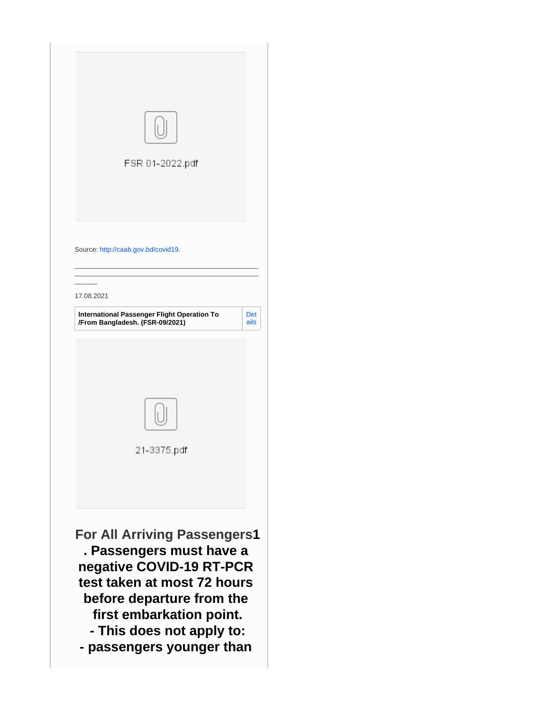| FSR 01-2022.pdf                                                                                                                                                                                                  |             |
|------------------------------------------------------------------------------------------------------------------------------------------------------------------------------------------------------------------|-------------|
| Source: http://caab.gov.bd/covid19.                                                                                                                                                                              |             |
| 17.08.2021                                                                                                                                                                                                       |             |
| International Passenger Flight Operation To<br>/From Bangladesh. (FSR-09/2021)                                                                                                                                   | Det<br>ails |
| 21-3375.pdf                                                                                                                                                                                                      |             |
| <b>For All Arriving Passengers1</b><br>. Passengers must have a<br>negative COVID-19 RT-PCR<br>test taken at most 72 hours<br>before departure from the<br>first embarkation point.<br>- This does not apply to: |             |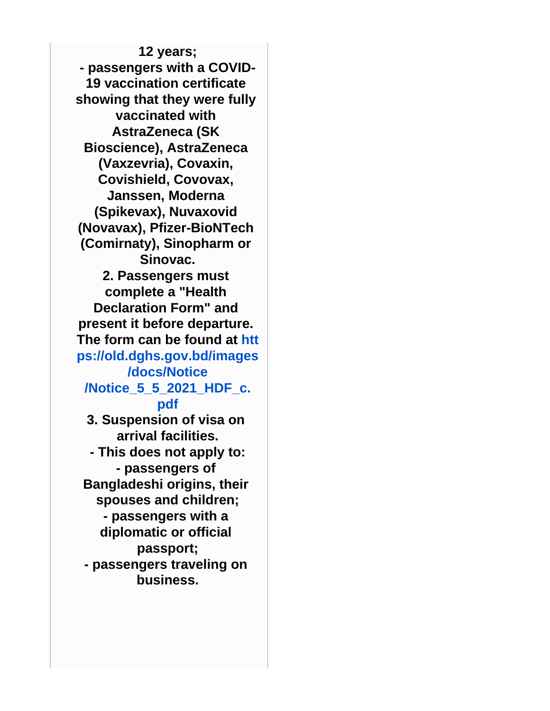**12 years; - passengers with a COVID-19 vaccination certificate showing that they were fully vaccinated with AstraZeneca (SK Bioscience), AstraZeneca (Vaxzevria), Covaxin, Covishield, Covovax, Janssen, Moderna (Spikevax), Nuvaxovid (Novavax), Pfizer-BioNTech (Comirnaty), Sinopharm or Sinovac. 2. Passengers must complete a "Health Declaration Form" and present it before departure. The form can be found at [htt](https://old.dghs.gov.bd/images/docs/Notice/Notice_5_5_2021_HDF_c.pdf) [ps://old.dghs.gov.bd/images](https://old.dghs.gov.bd/images/docs/Notice/Notice_5_5_2021_HDF_c.pdf) [/docs/Notice](https://old.dghs.gov.bd/images/docs/Notice/Notice_5_5_2021_HDF_c.pdf) [/Notice\\_5\\_5\\_2021\\_HDF\\_c.](https://old.dghs.gov.bd/images/docs/Notice/Notice_5_5_2021_HDF_c.pdf) [pdf](https://old.dghs.gov.bd/images/docs/Notice/Notice_5_5_2021_HDF_c.pdf) 3. Suspension of visa on arrival facilities. - This does not apply to: - passengers of Bangladeshi origins, their spouses and children; - passengers with a diplomatic or official passport; - passengers traveling on business.**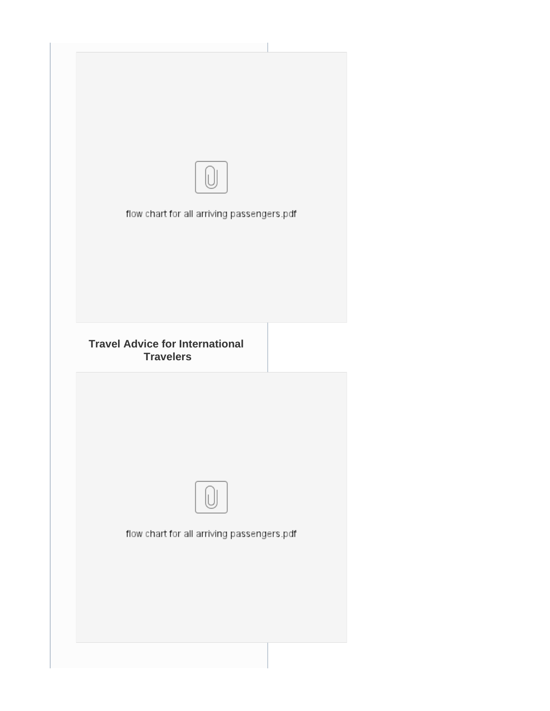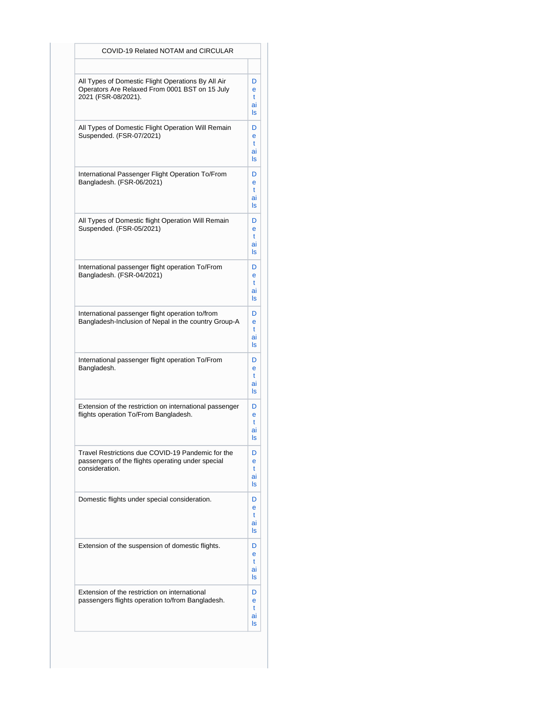| COVID-19 Related NOTAM and CIRCULAR                                                                                         |                         |
|-----------------------------------------------------------------------------------------------------------------------------|-------------------------|
|                                                                                                                             |                         |
| All Types of Domestic Flight Operations By All Air<br>Operators Are Relaxed From 0001 BST on 15 July<br>2021 (FSR-08/2021). | D<br>e<br>t<br>ai<br>ls |
| All Types of Domestic Flight Operation Will Remain<br>Suspended. (FSR-07/2021)                                              | D<br>e<br>t<br>ai<br>ls |
| International Passenger Flight Operation To/From<br>Bangladesh. (FSR-06/2021)                                               | D<br>e<br>t<br>ai<br>ls |
| All Types of Domestic flight Operation Will Remain<br>Suspended. (FSR-05/2021)                                              | D<br>e<br>t<br>ai<br>ls |
| International passenger flight operation To/From<br>Bangladesh. (FSR-04/2021)                                               | D<br>e<br>t<br>ai<br>ls |
| International passenger flight operation to/from<br>Bangladesh-Inclusion of Nepal in the country Group-A                    | D<br>e<br>t<br>ai<br>ls |
| International passenger flight operation To/From<br>Bangladesh.                                                             | D<br>e<br>t<br>ai<br>ls |
| Extension of the restriction on international passenger<br>flights operation To/From Bangladesh.                            | D<br>e<br>t<br>ai<br>ls |
| Travel Restrictions due COVID-19 Pandemic for the<br>passengers of the flights operating under special<br>consideration.    | D<br>e<br>t<br>ai<br>ls |
| Domestic flights under special consideration.                                                                               | D<br>e<br>t<br>ai<br>ls |
| Extension of the suspension of domestic flights.                                                                            | D<br>e<br>t<br>ai<br>ls |
| Extension of the restriction on international<br>passengers flights operation to/from Bangladesh.                           | D<br>e<br>t<br>ai<br>ls |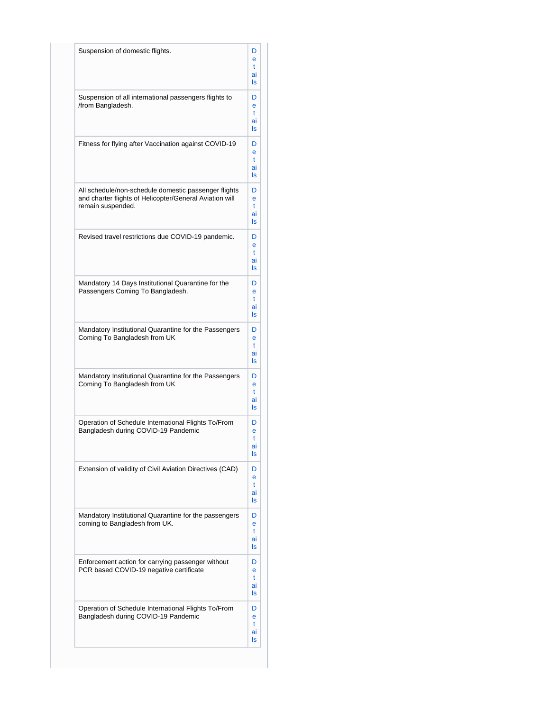| Suspension of domestic flights.                                                                                                      | D<br>e<br>t<br>ai<br>ls |
|--------------------------------------------------------------------------------------------------------------------------------------|-------------------------|
| Suspension of all international passengers flights to<br>/from Bangladesh.                                                           | D<br>e<br>t<br>ai<br>ls |
| Fitness for flying after Vaccination against COVID-19                                                                                | D<br>e<br>t<br>ai<br>ls |
| All schedule/non-schedule domestic passenger flights<br>and charter flights of Helicopter/General Aviation will<br>remain suspended. | D<br>e<br>t<br>ai<br>ls |
| Revised travel restrictions due COVID-19 pandemic.                                                                                   | D<br>e<br>t<br>ai<br>ls |
| Mandatory 14 Days Institutional Quarantine for the<br>Passengers Coming To Bangladesh.                                               | D<br>e<br>t<br>ai<br>ls |
| Mandatory Institutional Quarantine for the Passengers<br>Coming To Bangladesh from UK                                                | D<br>e<br>t<br>ai<br>ls |
| Mandatory Institutional Quarantine for the Passengers<br>Coming To Bangladesh from UK                                                | D<br>e<br>t<br>ai<br>ls |
| Operation of Schedule International Flights To/From<br>Bangladesh during COVID-19 Pandemic                                           | D<br>e<br>t<br>ai<br>ls |
| Extension of validity of Civil Aviation Directives (CAD)                                                                             | D<br>e<br>t<br>ai<br>ls |
| Mandatory Institutional Quarantine for the passengers<br>coming to Bangladesh from UK.                                               | D<br>e<br>t<br>ai<br>ls |
| Enforcement action for carrying passenger without<br>PCR based COVID-19 negative certificate                                         | D<br>e<br>t<br>ai<br>ls |
| Operation of Schedule International Flights To/From<br>Bangladesh during COVID-19 Pandemic                                           | D<br>e<br>t<br>ai<br>ls |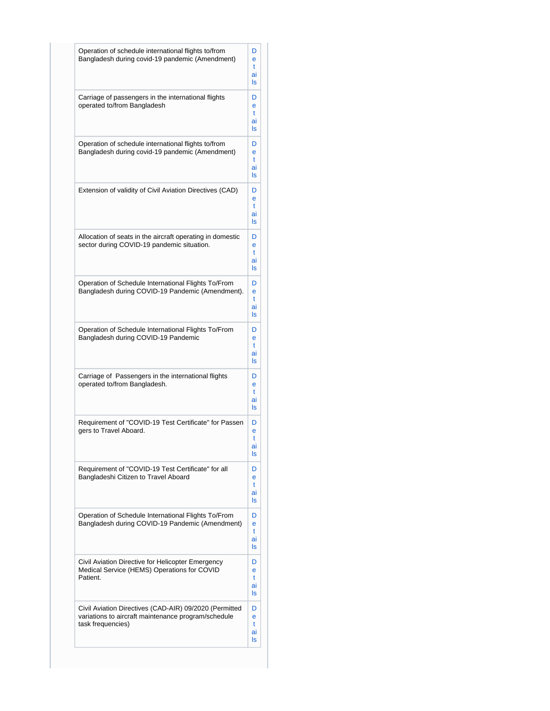| Operation of schedule international flights to/from<br>Bangladesh during covid-19 pandemic (Amendment)                             | D<br>e<br>t<br>ai<br>ls |
|------------------------------------------------------------------------------------------------------------------------------------|-------------------------|
| Carriage of passengers in the international flights<br>operated to/from Bangladesh                                                 | D<br>e<br>t<br>ai<br>ls |
| Operation of schedule international flights to/from<br>Bangladesh during covid-19 pandemic (Amendment)                             | D<br>e<br>t<br>ai<br>ls |
| Extension of validity of Civil Aviation Directives (CAD)                                                                           | D<br>e<br>t<br>ai<br>ls |
| Allocation of seats in the aircraft operating in domestic<br>sector during COVID-19 pandemic situation.                            | D<br>e<br>t<br>ai<br>ls |
| Operation of Schedule International Flights To/From<br>Bangladesh during COVID-19 Pandemic (Amendment).                            | D<br>e<br>t<br>ai<br>ls |
| Operation of Schedule International Flights To/From<br>Bangladesh during COVID-19 Pandemic                                         | D<br>e<br>t<br>ai<br>ls |
| Carriage of Passengers in the international flights<br>operated to/from Bangladesh.                                                | D<br>e<br>t<br>ai<br>ls |
| Requirement of "COVID-19 Test Certificate" for Passen<br>gers to Travel Aboard.                                                    | D<br>e<br>t<br>ai<br>ls |
| Requirement of "COVID-19 Test Certificate" for all<br>Bangladeshi Citizen to Travel Aboard                                         | D<br>e<br>t<br>ai<br>ls |
| Operation of Schedule International Flights To/From<br>Bangladesh during COVID-19 Pandemic (Amendment)                             | D<br>e<br>t<br>ai<br>ls |
| Civil Aviation Directive for Helicopter Emergency<br>Medical Service (HEMS) Operations for COVID<br>Patient.                       | D<br>e<br>t<br>ai<br>ls |
| Civil Aviation Directives (CAD-AIR) 09/2020 (Permitted<br>variations to aircraft maintenance program/schedule<br>task frequencies) | D<br>e<br>t<br>ai<br>ls |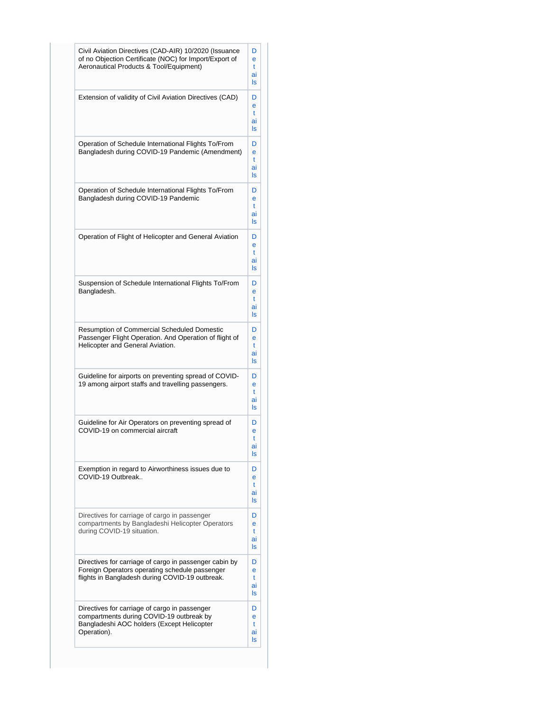| Civil Aviation Directives (CAD-AIR) 10/2020 (Issuance<br>of no Objection Certificate (NOC) for Import/Export of<br>Aeronautical Products & Tool/Equipment)  | D<br>e<br>t<br>ai<br>ls |
|-------------------------------------------------------------------------------------------------------------------------------------------------------------|-------------------------|
| Extension of validity of Civil Aviation Directives (CAD)                                                                                                    | D<br>e<br>t<br>ai<br>ls |
| Operation of Schedule International Flights To/From<br>Bangladesh during COVID-19 Pandemic (Amendment)                                                      | D<br>e<br>t<br>ai<br>ls |
| Operation of Schedule International Flights To/From<br>Bangladesh during COVID-19 Pandemic                                                                  | D<br>e<br>t<br>ai<br>ls |
| Operation of Flight of Helicopter and General Aviation                                                                                                      | D<br>e<br>t<br>ai<br>ls |
| Suspension of Schedule International Flights To/From<br>Bangladesh.                                                                                         | D<br>e<br>t<br>ai<br>ls |
| Resumption of Commercial Scheduled Domestic<br>Passenger Flight Operation. And Operation of flight of<br>Helicopter and General Aviation.                   | D<br>e<br>t<br>ai<br>ls |
| Guideline for airports on preventing spread of COVID-<br>19 among airport staffs and travelling passengers.                                                 | D<br>e<br>t<br>ai<br>ls |
| Guideline for Air Operators on preventing spread of<br>COVID-19 on commercial aircraft                                                                      | D<br>e<br>t<br>aı<br>ls |
| Exemption in regard to Airworthiness issues due to<br>COVID-19 Outbreak                                                                                     | D<br>e<br>t<br>ai<br>ls |
| Directives for carriage of cargo in passenger<br>compartments by Bangladeshi Helicopter Operators<br>during COVID-19 situation.                             | D<br>e<br>t<br>ai<br>ls |
| Directives for carriage of cargo in passenger cabin by<br>Foreign Operators operating schedule passenger<br>flights in Bangladesh during COVID-19 outbreak. | D<br>е<br>t<br>ai<br>ls |
| Directives for carriage of cargo in passenger<br>compartments during COVID-19 outbreak by<br>Bangladeshi AOC holders (Except Helicopter<br>Operation).      | D<br>e<br>t<br>ai<br>ls |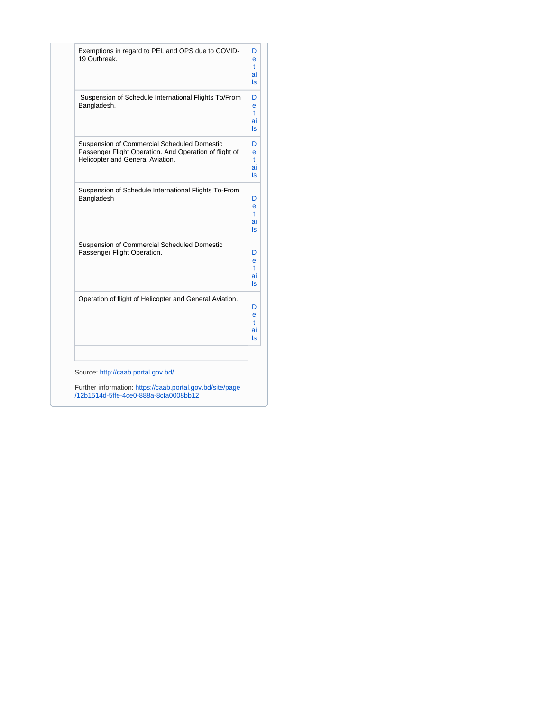| Exemptions in regard to PEL and OPS due to COVID-<br>19 Outbreak.                                                                         | D<br>e<br>t<br>ai<br>ls  |
|-------------------------------------------------------------------------------------------------------------------------------------------|--------------------------|
| Suspension of Schedule International Flights To/From<br>Bangladesh.                                                                       | D<br>e<br>t<br>ai<br>ls. |
| Suspension of Commercial Scheduled Domestic<br>Passenger Flight Operation. And Operation of flight of<br>Helicopter and General Aviation. | D<br>e<br>t<br>ai<br>ls  |
| Suspension of Schedule International Flights To-From<br>Bangladesh                                                                        | D<br>e<br>t<br>ai<br>ls  |
| Suspension of Commercial Scheduled Domestic<br>Passenger Flight Operation.                                                                | D<br>e<br>t<br>ai<br>ls  |
| Operation of flight of Helicopter and General Aviation.                                                                                   | D<br>e<br>t<br>ai<br>ls  |
| Source: http://caab.portal.gov.bd/<br>Further information: https://caab.portal.gov.bd/site/page<br>/12b1514d-5ffe-4ce0-888a-8cfa0008bb12  |                          |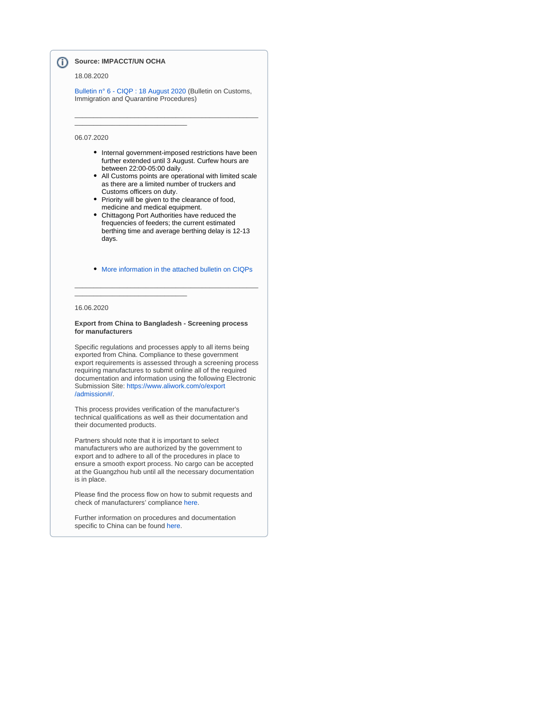#### **Source: IMPACCT/UN OCHA** (i)

\_\_\_\_\_\_\_\_\_\_\_\_\_\_\_\_\_\_\_\_\_\_\_\_\_\_\_\_\_\_

\_\_\_\_\_\_\_\_\_\_\_\_\_\_\_\_\_\_\_\_\_\_\_\_\_\_\_\_\_\_

#### 18.08.2020

[Bulletin n° 6 - CIQP : 18 August 2020](https://wiki.unece.org/download/attachments/101549028/BANGLADESH%20-%20COVID-19%20-%20CIQP%20Bulletin%206.pdf?version=1&modificationDate=1598358657701&api=v2) (Bulletin on Customs, Immigration and Quarantine Procedures)

\_\_\_\_\_\_\_\_\_\_\_\_\_\_\_\_\_\_\_\_\_\_\_\_\_\_\_\_\_\_\_\_\_\_\_\_\_\_\_\_\_\_\_\_\_\_\_\_\_

### 06.07.2020

- Internal government-imposed restrictions have been further extended until 3 August. Curfew hours are between 22:00-05:00 daily.
- All Customs points are operational with limited scale as there are a limited number of truckers and Customs officers on duty.
- Priority will be given to the clearance of food, medicine and medical equipment.
- $\bullet$ Chittagong Port Authorities have reduced the frequencies of feeders; the current estimated berthing time and average berthing delay is 12-13 days.
- [More information in the attached bulletin on CIQPs](https://wiki.unece.org/download/attachments/101549028/BANGLADESH%20-%20COVID-19%20-%20%20CIQP%20Bulletin%205.pdf?version=1&modificationDate=1594978176661&api=v2)

\_\_\_\_\_\_\_\_\_\_\_\_\_\_\_\_\_\_\_\_\_\_\_\_\_\_\_\_\_\_\_\_\_\_\_\_\_\_\_\_\_\_\_\_\_\_\_\_\_

#### 16.06.2020

#### **Export from China to Bangladesh - Screening process for manufacturers**

Specific regulations and processes apply to all items being exported from China. Compliance to these government export requirements is assessed through a screening process requiring manufactures to submit online all of the required documentation and information using the following Electronic Submission Site: [https://www.aliwork.com/o/export](https://www.aliwork.com/o/export/admission#/) [/admission#/](https://www.aliwork.com/o/export/admission#/).

This process provides verification of the manufacturer's technical qualifications as well as their documentation and their documented products.

Partners should note that it is important to select manufacturers who are authorized by the government to export and to adhere to all of the procedures in place to ensure a smooth export process. No cargo can be accepted at the Guangzhou hub until all the necessary documentation is in place.

Please find the process flow on how to submit requests and check of manufacturers' compliance [here](https://emergency.servicemarketplace.wfp.org/references-and-guides).

Further information on procedures and documentation specific to China can be found [here.](https://emergency.servicemarketplace.wfp.org/references-and-guides)